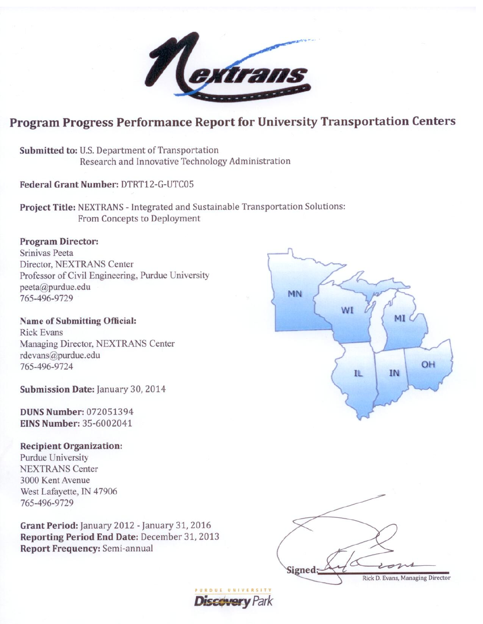

# **Program Progress Performance Report for University Transportation Centers**

**MN** 

Submitted to: U.S. Department of Transportation Research and Innovative Technology Administration

Federal Grant Number: DTRT12-G-UTC05

Project Title: NEXTRANS - Integrated and Sustainable Transportation Solutions: From Concepts to Deployment

# **Program Director:**

Srinivas Peeta Director, NEXTRANS Center Professor of Civil Engineering, Purdue University peeta@purdue.edu 765-496-9729

**Name of Submitting Official: Rick Evans** Managing Director, NEXTRANS Center rdevans@purdue.edu 765-496-9724

Submission Date: January 30, 2014

**DUNS Number: 072051394 EINS Number: 35-6002041** 

### **Recipient Organization:**

**Purdue University NEXTRANS Center** 3000 Kent Avenue West Lafayette, IN 47906 765-496-9729

Grant Period: January 2012 - January 31, 2016 Reporting Period End Date: December 31, 2013 **Report Frequency: Semi-annual** 



IL

MI

**IN** 

OH

**Discavery** Park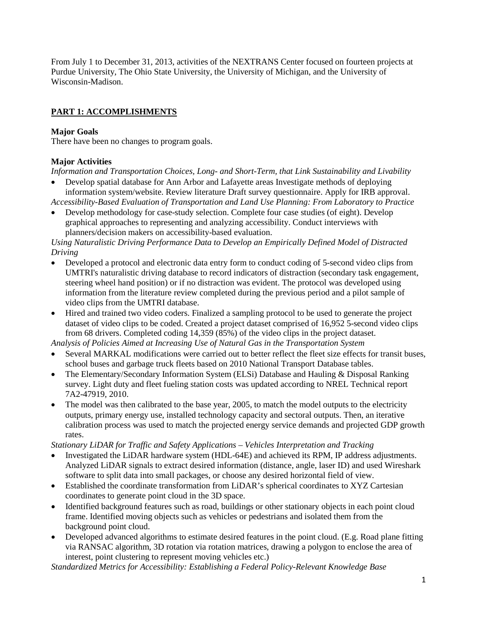From July 1 to December 31, 2013, activities of the NEXTRANS Center focused on fourteen projects at Purdue University, The Ohio State University, the University of Michigan, and the University of Wisconsin-Madison.

# **PART 1: ACCOMPLISHMENTS**

### **Major Goals**

There have been no changes to program goals.

### **Major Activities**

*Information and Transportation Choices, Long- and Short-Term, that Link Sustainability and Livability*

• Develop spatial database for Ann Arbor and Lafayette areas Investigate methods of deploying information system/website. Review literature Draft survey questionnaire. Apply for IRB approval.

*Accessibility-Based Evaluation of Transportation and Land Use Planning: From Laboratory to Practice*

• Develop methodology for case-study selection. Complete four case studies (of eight). Develop graphical approaches to representing and analyzing accessibility. Conduct interviews with planners/decision makers on accessibility-based evaluation.

*Using Naturalistic Driving Performance Data to Develop an Empirically Defined Model of Distracted Driving*

- Developed a protocol and electronic data entry form to conduct coding of 5-second video clips from UMTRI's naturalistic driving database to record indicators of distraction (secondary task engagement, steering wheel hand position) or if no distraction was evident. The protocol was developed using information from the literature review completed during the previous period and a pilot sample of video clips from the UMTRI database.
- Hired and trained two video coders. Finalized a sampling protocol to be used to generate the project dataset of video clips to be coded. Created a project dataset comprised of 16,952 5-second video clips from 68 drivers. Completed coding 14,359 (85%) of the video clips in the project dataset.

*Analysis of Policies Aimed at Increasing Use of Natural Gas in the Transportation System*

- Several MARKAL modifications were carried out to better reflect the fleet size effects for transit buses, school buses and garbage truck fleets based on 2010 National Transport Database tables.
- The Elementary/Secondary Information System (ELSi) Database and Hauling & Disposal Ranking survey. Light duty and fleet fueling station costs was updated according to NREL Technical report 7A2-47919, 2010.
- The model was then calibrated to the base year, 2005, to match the model outputs to the electricity outputs, primary energy use, installed technology capacity and sectoral outputs. Then, an iterative calibration process was used to match the projected energy service demands and projected GDP growth rates.

*Stationary LiDAR for Traffic and Safety Applications – Vehicles Interpretation and Tracking*

- Investigated the LiDAR hardware system (HDL-64E) and achieved its RPM, IP address adjustments. Analyzed LiDAR signals to extract desired information (distance, angle, laser ID) and used Wireshark software to split data into small packages, or choose any desired horizontal field of view.
- Established the coordinate transformation from LiDAR's spherical coordinates to XYZ Cartesian coordinates to generate point cloud in the 3D space.
- Identified background features such as road, buildings or other stationary objects in each point cloud frame. Identified moving objects such as vehicles or pedestrians and isolated them from the background point cloud.
- Developed advanced algorithms to estimate desired features in the point cloud. (E.g. Road plane fitting via RANSAC algorithm, 3D rotation via rotation matrices, drawing a polygon to enclose the area of interest, point clustering to represent moving vehicles etc.)

*Standardized Metrics for Accessibility: Establishing a Federal Policy-Relevant Knowledge Base*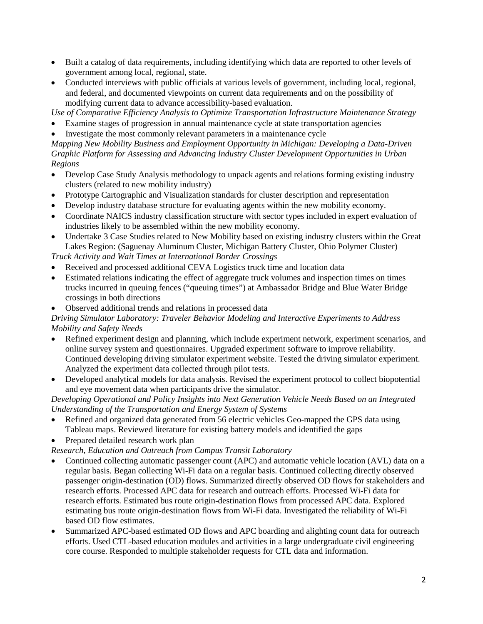- Built a catalog of data requirements, including identifying which data are reported to other levels of government among local, regional, state.
- Conducted interviews with public officials at various levels of government, including local, regional, and federal, and documented viewpoints on current data requirements and on the possibility of modifying current data to advance accessibility-based evaluation.

*Use of Comparative Efficiency Analysis to Optimize Transportation Infrastructure Maintenance Strategy*

- Examine stages of progression in annual maintenance cycle at state transportation agencies
- Investigate the most commonly relevant parameters in a maintenance cycle

*Mapping New Mobility Business and Employment Opportunity in Michigan: Developing a Data-Driven Graphic Platform for Assessing and Advancing Industry Cluster Development Opportunities in Urban Regions*

- Develop Case Study Analysis methodology to unpack agents and relations forming existing industry clusters (related to new mobility industry)
- Prototype Cartographic and Visualization standards for cluster description and representation
- Develop industry database structure for evaluating agents within the new mobility economy.
- Coordinate NAICS industry classification structure with sector types included in expert evaluation of industries likely to be assembled within the new mobility economy.
- Undertake 3 Case Studies related to New Mobility based on existing industry clusters within the Great Lakes Region: (Saguenay Aluminum Cluster, Michigan Battery Cluster, Ohio Polymer Cluster)

*Truck Activity and Wait Times at International Border Crossings*

- Received and processed additional CEVA Logistics truck time and location data
- Estimated relations indicating the effect of aggregate truck volumes and inspection times on times trucks incurred in queuing fences ("queuing times") at Ambassador Bridge and Blue Water Bridge crossings in both directions
- Observed additional trends and relations in processed data

### *Driving Simulator Laboratory: Traveler Behavior Modeling and Interactive Experiments to Address Mobility and Safety Needs*

- Refined experiment design and planning, which include experiment network, experiment scenarios, and online survey system and questionnaires. Upgraded experiment software to improve reliability. Continued developing driving simulator experiment website. Tested the driving simulator experiment. Analyzed the experiment data collected through pilot tests.
- Developed analytical models for data analysis. Revised the experiment protocol to collect biopotential and eye movement data when participants drive the simulator.

*Developing Operational and Policy Insights into Next Generation Vehicle Needs Based on an Integrated Understanding of the Transportation and Energy System of Systems*

- Refined and organized data generated from 56 electric vehicles Geo-mapped the GPS data using Tableau maps. Reviewed literature for existing battery models and identified the gaps
- Prepared detailed research work plan

*Research, Education and Outreach from Campus Transit Laboratory*

- Continued collecting automatic passenger count (APC) and automatic vehicle location (AVL) data on a regular basis. Began collecting Wi-Fi data on a regular basis. Continued collecting directly observed passenger origin-destination (OD) flows. Summarized directly observed OD flows for stakeholders and research efforts. Processed APC data for research and outreach efforts. Processed Wi-Fi data for research efforts. Estimated bus route origin-destination flows from processed APC data. Explored estimating bus route origin-destination flows from Wi-Fi data. Investigated the reliability of Wi-Fi based OD flow estimates.
- Summarized APC-based estimated OD flows and APC boarding and alighting count data for outreach efforts. Used CTL-based education modules and activities in a large undergraduate civil engineering core course. Responded to multiple stakeholder requests for CTL data and information.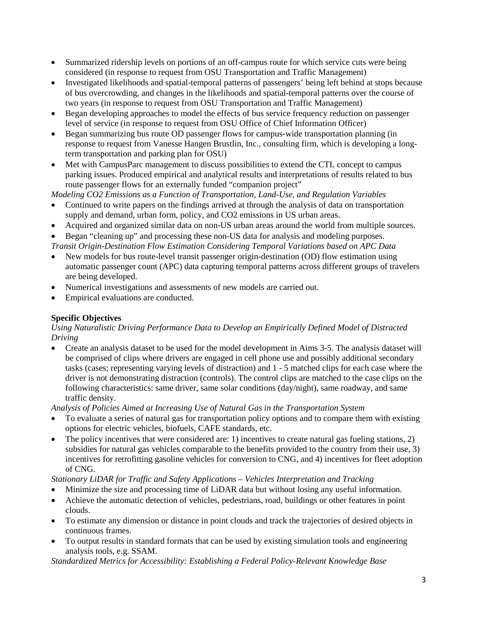- Summarized ridership levels on portions of an off-campus route for which service cuts were being considered (in response to request from OSU Transportation and Traffic Management)
- Investigated likelihoods and spatial-temporal patterns of passengers' being left behind at stops because of bus overcrowding, and changes in the likelihoods and spatial-temporal patterns over the course of two years (in response to request from OSU Transportation and Traffic Management)
- Began developing approaches to model the effects of bus service frequency reduction on passenger level of service (in response to request from OSU Office of Chief Information Officer)
- Began summarizing bus route OD passenger flows for campus-wide transportation planning (in response to request from Vanesse Hangen Brustlin, Inc., consulting firm, which is developing a longterm transportation and parking plan for OSU)
- Met with CampusParc management to discuss possibilities to extend the CTL concept to campus parking issues. Produced empirical and analytical results and interpretations of results related to bus route passenger flows for an externally funded "companion project"

- Continued to write papers on the findings arrived at through the analysis of data on transportation supply and demand, urban form, policy, and CO2 emissions in US urban areas.
- Acquired and organized similar data on non-US urban areas around the world from multiple sources.
- Began "cleaning up" and processing these non-US data for analysis and modeling purposes.

*Transit Origin-Destination Flow Estimation Considering Temporal Variations based on APC Data*

- New models for bus route-level transit passenger origin-destination (OD) flow estimation using automatic passenger count (APC) data capturing temporal patterns across different groups of travelers are being developed.
- Numerical investigations and assessments of new models are carried out.
- Empirical evaluations are conducted.

### **Specific Objectives**

*Using Naturalistic Driving Performance Data to Develop an Empirically Defined Model of Distracted Driving*

• Create an analysis dataset to be used for the model development in Aims 3-5. The analysis dataset will be comprised of clips where drivers are engaged in cell phone use and possibly additional secondary tasks (cases; representing varying levels of distraction) and 1 - 5 matched clips for each case where the driver is not demonstrating distraction (controls). The control clips are matched to the case clips on the following characteristics: same driver, same solar conditions (day/night), same roadway, and same traffic density.

*Analysis of Policies Aimed at Increasing Use of Natural Gas in the Transportation System*

- To evaluate a series of natural gas for transportation policy options and to compare them with existing options for electric vehicles, biofuels, CAFE standards, etc.
- The policy incentives that were considered are: 1) incentives to create natural gas fueling stations, 2) subsidies for natural gas vehicles comparable to the benefits provided to the country from their use, 3) incentives for retrofitting gasoline vehicles for conversion to CNG, and 4) incentives for fleet adoption of CNG.

*Stationary LiDAR for Traffic and Safety Applications – Vehicles Interpretation and Tracking*

- Minimize the size and processing time of LiDAR data but without losing any useful information.
- Achieve the automatic detection of vehicles, pedestrians, road, buildings or other features in point clouds.
- To estimate any dimension or distance in point clouds and track the trajectories of desired objects in continuous frames.
- To output results in standard formats that can be used by existing simulation tools and engineering analysis tools, e.g. SSAM.

*Standardized Metrics for Accessibility: Establishing a Federal Policy-Relevant Knowledge Base*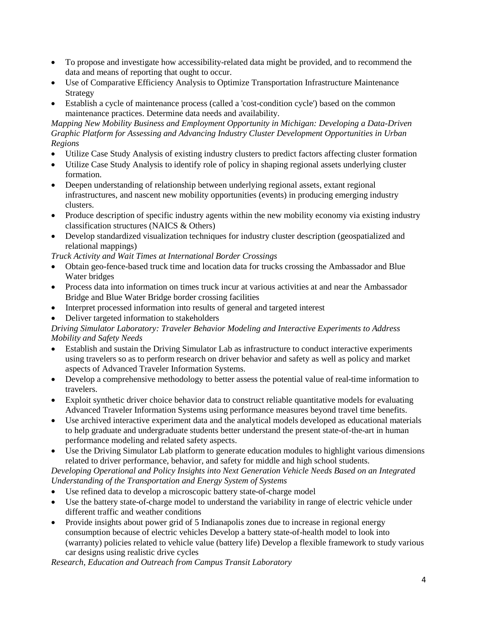- To propose and investigate how accessibility-related data might be provided, and to recommend the data and means of reporting that ought to occur.
- Use of Comparative Efficiency Analysis to Optimize Transportation Infrastructure Maintenance Strategy
- Establish a cycle of maintenance process (called a 'cost-condition cycle') based on the common maintenance practices. Determine data needs and availability.

*Mapping New Mobility Business and Employment Opportunity in Michigan: Developing a Data-Driven Graphic Platform for Assessing and Advancing Industry Cluster Development Opportunities in Urban Regions*

- Utilize Case Study Analysis of existing industry clusters to predict factors affecting cluster formation
- Utilize Case Study Analysis to identify role of policy in shaping regional assets underlying cluster formation.
- Deepen understanding of relationship between underlying regional assets, extant regional infrastructures, and nascent new mobility opportunities (events) in producing emerging industry clusters.
- Produce description of specific industry agents within the new mobility economy via existing industry classification structures (NAICS & Others)
- Develop standardized visualization techniques for industry cluster description (geospatialized and relational mappings)

*Truck Activity and Wait Times at International Border Crossings*

- Obtain geo-fence-based truck time and location data for trucks crossing the Ambassador and Blue Water bridges
- Process data into information on times truck incur at various activities at and near the Ambassador Bridge and Blue Water Bridge border crossing facilities
- Interpret processed information into results of general and targeted interest
- Deliver targeted information to stakeholders

### *Driving Simulator Laboratory: Traveler Behavior Modeling and Interactive Experiments to Address Mobility and Safety Needs*

- Establish and sustain the Driving Simulator Lab as infrastructure to conduct interactive experiments using travelers so as to perform research on driver behavior and safety as well as policy and market aspects of Advanced Traveler Information Systems.
- Develop a comprehensive methodology to better assess the potential value of real-time information to travelers.
- Exploit synthetic driver choice behavior data to construct reliable quantitative models for evaluating Advanced Traveler Information Systems using performance measures beyond travel time benefits.
- Use archived interactive experiment data and the analytical models developed as educational materials to help graduate and undergraduate students better understand the present state-of-the-art in human performance modeling and related safety aspects.
- Use the Driving Simulator Lab platform to generate education modules to highlight various dimensions related to driver performance, behavior, and safety for middle and high school students.

*Developing Operational and Policy Insights into Next Generation Vehicle Needs Based on an Integrated Understanding of the Transportation and Energy System of Systems*

- Use refined data to develop a microscopic battery state-of-charge model
- Use the battery state-of-charge model to understand the variability in range of electric vehicle under different traffic and weather conditions
- Provide insights about power grid of 5 Indianapolis zones due to increase in regional energy consumption because of electric vehicles Develop a battery state-of-health model to look into (warranty) policies related to vehicle value (battery life) Develop a flexible framework to study various car designs using realistic drive cycles

*Research, Education and Outreach from Campus Transit Laboratory*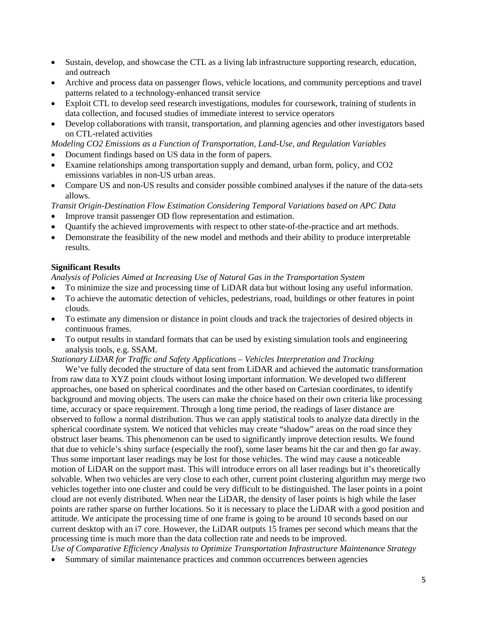- Sustain, develop, and showcase the CTL as a living lab infrastructure supporting research, education, and outreach
- Archive and process data on passenger flows, vehicle locations, and community perceptions and travel patterns related to a technology-enhanced transit service
- Exploit CTL to develop seed research investigations, modules for coursework, training of students in data collection, and focused studies of immediate interest to service operators
- Develop collaborations with transit, transportation, and planning agencies and other investigators based on CTL-related activities

- Document findings based on US data in the form of papers.
- Examine relationships among transportation supply and demand, urban form, policy, and CO2 emissions variables in non-US urban areas.
- Compare US and non-US results and consider possible combined analyses if the nature of the data-sets allows.

*Transit Origin-Destination Flow Estimation Considering Temporal Variations based on APC Data*

- Improve transit passenger OD flow representation and estimation.
- Quantify the achieved improvements with respect to other state-of-the-practice and art methods.
- Demonstrate the feasibility of the new model and methods and their ability to produce interpretable results.

### **Significant Results**

*Analysis of Policies Aimed at Increasing Use of Natural Gas in the Transportation System*

- To minimize the size and processing time of LiDAR data but without losing any useful information.
- To achieve the automatic detection of vehicles, pedestrians, road, buildings or other features in point clouds.
- To estimate any dimension or distance in point clouds and track the trajectories of desired objects in continuous frames.
- To output results in standard formats that can be used by existing simulation tools and engineering analysis tools, e.g. SSAM.

*Stationary LiDAR for Traffic and Safety Applications – Vehicles Interpretation and Tracking*

We've fully decoded the structure of data sent from LiDAR and achieved the automatic transformation from raw data to XYZ point clouds without losing important information. We developed two different approaches, one based on spherical coordinates and the other based on Cartesian coordinates, to identify background and moving objects. The users can make the choice based on their own criteria like processing time, accuracy or space requirement. Through a long time period, the readings of laser distance are observed to follow a normal distribution. Thus we can apply statistical tools to analyze data directly in the spherical coordinate system. We noticed that vehicles may create "shadow" areas on the road since they obstruct laser beams. This phenomenon can be used to significantly improve detection results. We found that due to vehicle's shiny surface (especially the roof), some laser beams hit the car and then go far away. Thus some important laser readings may be lost for those vehicles. The wind may cause a noticeable motion of LiDAR on the support mast. This will introduce errors on all laser readings but it's theoretically solvable. When two vehicles are very close to each other, current point clustering algorithm may merge two vehicles together into one cluster and could be very difficult to be distinguished. The laser points in a point cloud are not evenly distributed. When near the LiDAR, the density of laser points is high while the laser points are rather sparse on further locations. So it is necessary to place the LiDAR with a good position and attitude. We anticipate the processing time of one frame is going to be around 10 seconds based on our current desktop with an i7 core. However, the LiDAR outputs 15 frames per second which means that the processing time is much more than the data collection rate and needs to be improved.

*Use of Comparative Efficiency Analysis to Optimize Transportation Infrastructure Maintenance Strategy* • Summary of similar maintenance practices and common occurrences between agencies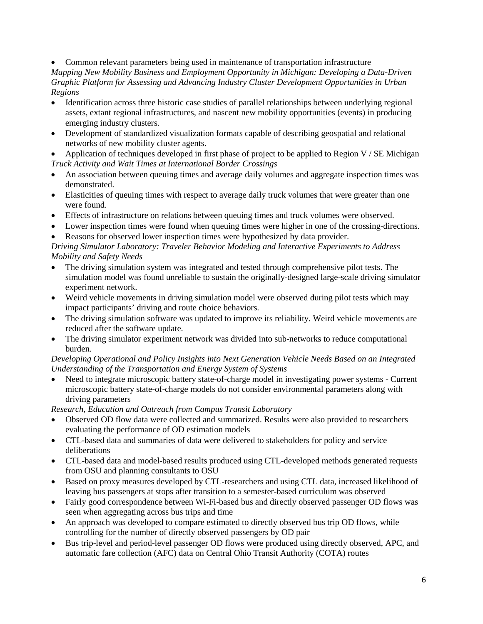• Common relevant parameters being used in maintenance of transportation infrastructure

*Mapping New Mobility Business and Employment Opportunity in Michigan: Developing a Data-Driven Graphic Platform for Assessing and Advancing Industry Cluster Development Opportunities in Urban Regions*

- Identification across three historic case studies of parallel relationships between underlying regional assets, extant regional infrastructures, and nascent new mobility opportunities (events) in producing emerging industry clusters.
- Development of standardized visualization formats capable of describing geospatial and relational networks of new mobility cluster agents.

• Application of techniques developed in first phase of project to be applied to Region V / SE Michigan *Truck Activity and Wait Times at International Border Crossings*

- An association between queuing times and average daily volumes and aggregate inspection times was demonstrated.
- Elasticities of queuing times with respect to average daily truck volumes that were greater than one were found.
- Effects of infrastructure on relations between queuing times and truck volumes were observed.
- Lower inspection times were found when queuing times were higher in one of the crossing-directions.
- Reasons for observed lower inspection times were hypothesized by data provider.

*Driving Simulator Laboratory: Traveler Behavior Modeling and Interactive Experiments to Address Mobility and Safety Needs*

- The driving simulation system was integrated and tested through comprehensive pilot tests. The simulation model was found unreliable to sustain the originally-designed large-scale driving simulator experiment network.
- Weird vehicle movements in driving simulation model were observed during pilot tests which may impact participants' driving and route choice behaviors.
- The driving simulation software was updated to improve its reliability. Weird vehicle movements are reduced after the software update.
- The driving simulator experiment network was divided into sub-networks to reduce computational burden.

### *Developing Operational and Policy Insights into Next Generation Vehicle Needs Based on an Integrated Understanding of the Transportation and Energy System of Systems*

• Need to integrate microscopic battery state-of-charge model in investigating power systems - Current microscopic battery state-of-charge models do not consider environmental parameters along with driving parameters

*Research, Education and Outreach from Campus Transit Laboratory*

- Observed OD flow data were collected and summarized. Results were also provided to researchers evaluating the performance of OD estimation models
- CTL-based data and summaries of data were delivered to stakeholders for policy and service deliberations
- CTL-based data and model-based results produced using CTL-developed methods generated requests from OSU and planning consultants to OSU
- Based on proxy measures developed by CTL-researchers and using CTL data, increased likelihood of leaving bus passengers at stops after transition to a semester-based curriculum was observed
- Fairly good correspondence between Wi-Fi-based bus and directly observed passenger OD flows was seen when aggregating across bus trips and time
- An approach was developed to compare estimated to directly observed bus trip OD flows, while controlling for the number of directly observed passengers by OD pair
- Bus trip-level and period-level passenger OD flows were produced using directly observed, APC, and automatic fare collection (AFC) data on Central Ohio Transit Authority (COTA) routes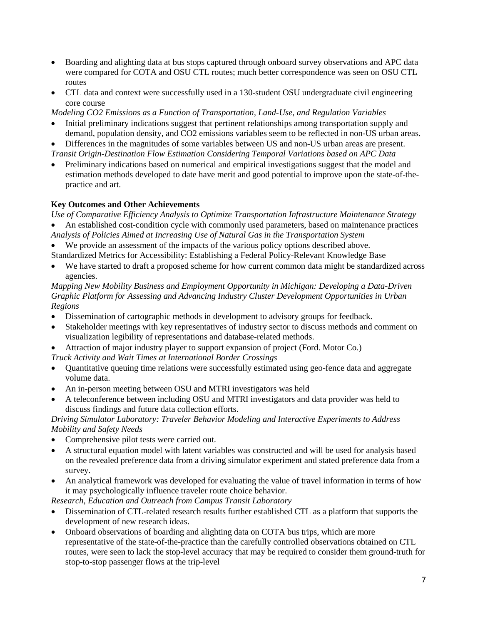- Boarding and alighting data at bus stops captured through onboard survey observations and APC data were compared for COTA and OSU CTL routes; much better correspondence was seen on OSU CTL routes
- CTL data and context were successfully used in a 130-student OSU undergraduate civil engineering core course

- Initial preliminary indications suggest that pertinent relationships among transportation supply and demand, population density, and CO2 emissions variables seem to be reflected in non-US urban areas.
- Differences in the magnitudes of some variables between US and non-US urban areas are present. *Transit Origin-Destination Flow Estimation Considering Temporal Variations based on APC Data*
- Preliminary indications based on numerical and empirical investigations suggest that the model and estimation methods developed to date have merit and good potential to improve upon the state-of-thepractice and art.

# **Key Outcomes and Other Achievements**

*Use of Comparative Efficiency Analysis to Optimize Transportation Infrastructure Maintenance Strategy* • An established cost-condition cycle with commonly used parameters, based on maintenance practices

- *Analysis of Policies Aimed at Increasing Use of Natural Gas in the Transportation System* We provide an assessment of the impacts of the various policy options described above.
- Standardized Metrics for Accessibility: Establishing a Federal Policy-Relevant Knowledge Base
- We have started to draft a proposed scheme for how current common data might be standardized across agencies.

*Mapping New Mobility Business and Employment Opportunity in Michigan: Developing a Data-Driven Graphic Platform for Assessing and Advancing Industry Cluster Development Opportunities in Urban Regions*

- Dissemination of cartographic methods in development to advisory groups for feedback.
- Stakeholder meetings with key representatives of industry sector to discuss methods and comment on visualization legibility of representations and database-related methods.
- Attraction of major industry player to support expansion of project (Ford. Motor Co.)

*Truck Activity and Wait Times at International Border Crossings*

- Quantitative queuing time relations were successfully estimated using geo-fence data and aggregate volume data.
- An in-person meeting between OSU and MTRI investigators was held
- A teleconference between including OSU and MTRI investigators and data provider was held to discuss findings and future data collection efforts.

*Driving Simulator Laboratory: Traveler Behavior Modeling and Interactive Experiments to Address Mobility and Safety Needs*

- Comprehensive pilot tests were carried out.
- A structural equation model with latent variables was constructed and will be used for analysis based on the revealed preference data from a driving simulator experiment and stated preference data from a survey.
- An analytical framework was developed for evaluating the value of travel information in terms of how it may psychologically influence traveler route choice behavior.

*Research, Education and Outreach from Campus Transit Laboratory*

- Dissemination of CTL-related research results further established CTL as a platform that supports the development of new research ideas.
- Onboard observations of boarding and alighting data on COTA bus trips, which are more representative of the state-of-the-practice than the carefully controlled observations obtained on CTL routes, were seen to lack the stop-level accuracy that may be required to consider them ground-truth for stop-to-stop passenger flows at the trip-level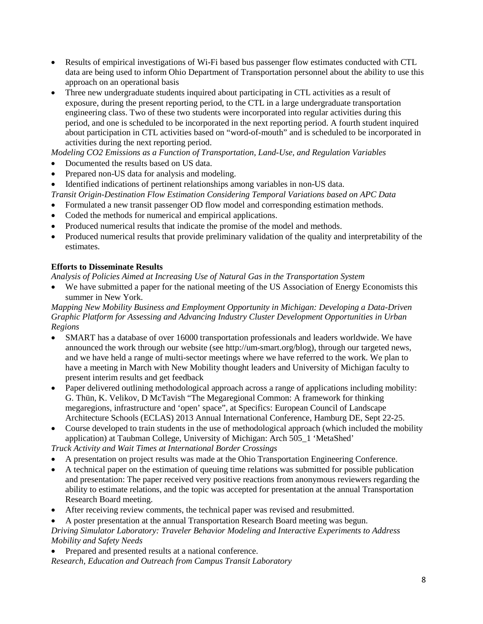- Results of empirical investigations of Wi-Fi based bus passenger flow estimates conducted with CTL data are being used to inform Ohio Department of Transportation personnel about the ability to use this approach on an operational basis
- Three new undergraduate students inquired about participating in CTL activities as a result of exposure, during the present reporting period, to the CTL in a large undergraduate transportation engineering class. Two of these two students were incorporated into regular activities during this period, and one is scheduled to be incorporated in the next reporting period. A fourth student inquired about participation in CTL activities based on "word-of-mouth" and is scheduled to be incorporated in activities during the next reporting period.

- Documented the results based on US data.
- Prepared non-US data for analysis and modeling.
- Identified indications of pertinent relationships among variables in non-US data.

*Transit Origin-Destination Flow Estimation Considering Temporal Variations based on APC Data*

- Formulated a new transit passenger OD flow model and corresponding estimation methods.
- Coded the methods for numerical and empirical applications.
- Produced numerical results that indicate the promise of the model and methods.
- Produced numerical results that provide preliminary validation of the quality and interpretability of the estimates.

### **Efforts to Disseminate Results**

*Analysis of Policies Aimed at Increasing Use of Natural Gas in the Transportation System*

• We have submitted a paper for the national meeting of the US Association of Energy Economists this summer in New York.

*Mapping New Mobility Business and Employment Opportunity in Michigan: Developing a Data-Driven Graphic Platform for Assessing and Advancing Industry Cluster Development Opportunities in Urban Regions*

- SMART has a database of over 16000 transportation professionals and leaders worldwide. We have announced the work through our website (see http://um-smart.org/blog), through our targeted news, and we have held a range of multi-sector meetings where we have referred to the work. We plan to have a meeting in March with New Mobility thought leaders and University of Michigan faculty to present interim results and get feedback
- Paper delivered outlining methodological approach across a range of applications including mobility: G. Thün, K. Velikov, D McTavish "The Megaregional Common: A framework for thinking megaregions, infrastructure and 'open' space", at Specifics: European Council of Landscape Architecture Schools (ECLAS) 2013 Annual International Conference, Hamburg DE, Sept 22-25.
- Course developed to train students in the use of methodological approach (which included the mobility application) at Taubman College, University of Michigan: Arch 505\_1 'MetaShed'

*Truck Activity and Wait Times at International Border Crossings*

- A presentation on project results was made at the Ohio Transportation Engineering Conference.
- A technical paper on the estimation of queuing time relations was submitted for possible publication and presentation: The paper received very positive reactions from anonymous reviewers regarding the ability to estimate relations, and the topic was accepted for presentation at the annual Transportation Research Board meeting.
- After receiving review comments, the technical paper was revised and resubmitted.

• A poster presentation at the annual Transportation Research Board meeting was begun.

*Driving Simulator Laboratory: Traveler Behavior Modeling and Interactive Experiments to Address Mobility and Safety Needs*

• Prepared and presented results at a national conference. *Research, Education and Outreach from Campus Transit Laboratory*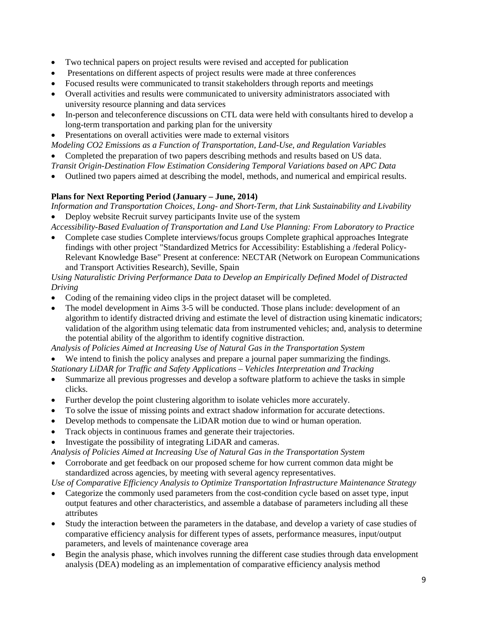- Two technical papers on project results were revised and accepted for publication
- Presentations on different aspects of project results were made at three conferences
- Focused results were communicated to transit stakeholders through reports and meetings
- Overall activities and results were communicated to university administrators associated with university resource planning and data services
- In-person and teleconference discussions on CTL data were held with consultants hired to develop a long-term transportation and parking plan for the university
- Presentations on overall activities were made to external visitors

*Modeling CO2 Emissions as a Function of Transportation, Land-Use, and Regulation Variables* • Completed the preparation of two papers describing methods and results based on US data.

- *Transit Origin-Destination Flow Estimation Considering Temporal Variations based on APC Data*
- Outlined two papers aimed at describing the model, methods, and numerical and empirical results.

### **Plans for Next Reporting Period (January – June, 2014)**

*Information and Transportation Choices, Long- and Short-Term, that Link Sustainability and Livability* • Deploy website Recruit survey participants Invite use of the system

- *Accessibility-Based Evaluation of Transportation and Land Use Planning: From Laboratory to Practice* • Complete case studies Complete interviews/focus groups Complete graphical approaches Integrate
- findings with other project "Standardized Metrics for Accessibility: Establishing a /federal Policy-Relevant Knowledge Base" Present at conference: NECTAR (Network on European Communications and Transport Activities Research), Seville, Spain

### *Using Naturalistic Driving Performance Data to Develop an Empirically Defined Model of Distracted Driving*

- Coding of the remaining video clips in the project dataset will be completed.
- The model development in Aims 3-5 will be conducted. Those plans include: development of an algorithm to identify distracted driving and estimate the level of distraction using kinematic indicators; validation of the algorithm using telematic data from instrumented vehicles; and, analysis to determine the potential ability of the algorithm to identify cognitive distraction.

*Analysis of Policies Aimed at Increasing Use of Natural Gas in the Transportation System*

• We intend to finish the policy analyses and prepare a journal paper summarizing the findings.

*Stationary LiDAR for Traffic and Safety Applications – Vehicles Interpretation and Tracking*

- Summarize all previous progresses and develop a software platform to achieve the tasks in simple clicks.
- Further develop the point clustering algorithm to isolate vehicles more accurately.
- To solve the issue of missing points and extract shadow information for accurate detections.
- Develop methods to compensate the LiDAR motion due to wind or human operation.
- Track objects in continuous frames and generate their trajectories.
- Investigate the possibility of integrating LiDAR and cameras.

*Analysis of Policies Aimed at Increasing Use of Natural Gas in the Transportation System*

• Corroborate and get feedback on our proposed scheme for how current common data might be standardized across agencies, by meeting with several agency representatives.

*Use of Comparative Efficiency Analysis to Optimize Transportation Infrastructure Maintenance Strategy*

- Categorize the commonly used parameters from the cost-condition cycle based on asset type, input output features and other characteristics, and assemble a database of parameters including all these attributes
- Study the interaction between the parameters in the database, and develop a variety of case studies of comparative efficiency analysis for different types of assets, performance measures, input/output parameters, and levels of maintenance coverage area
- Begin the analysis phase, which involves running the different case studies through data envelopment analysis (DEA) modeling as an implementation of comparative efficiency analysis method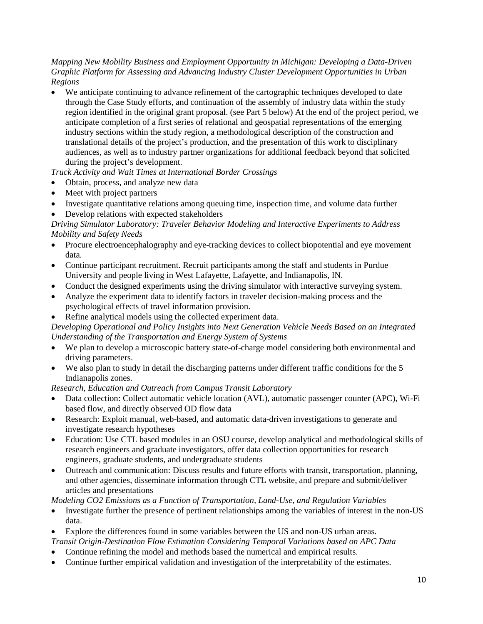### *Mapping New Mobility Business and Employment Opportunity in Michigan: Developing a Data-Driven Graphic Platform for Assessing and Advancing Industry Cluster Development Opportunities in Urban Regions*

• We anticipate continuing to advance refinement of the cartographic techniques developed to date through the Case Study efforts, and continuation of the assembly of industry data within the study region identified in the original grant proposal. (see Part 5 below) At the end of the project period, we anticipate completion of a first series of relational and geospatial representations of the emerging industry sections within the study region, a methodological description of the construction and translational details of the project's production, and the presentation of this work to disciplinary audiences, as well as to industry partner organizations for additional feedback beyond that solicited during the project's development.

# *Truck Activity and Wait Times at International Border Crossings*

- Obtain, process, and analyze new data
- Meet with project partners
- Investigate quantitative relations among queuing time, inspection time, and volume data further
- Develop relations with expected stakeholders

*Driving Simulator Laboratory: Traveler Behavior Modeling and Interactive Experiments to Address Mobility and Safety Needs*

- Procure electroencephalography and eye-tracking devices to collect biopotential and eye movement data.
- Continue participant recruitment. Recruit participants among the staff and students in Purdue University and people living in West Lafayette, Lafayette, and Indianapolis, IN.
- Conduct the designed experiments using the driving simulator with interactive surveying system.
- Analyze the experiment data to identify factors in traveler decision-making process and the psychological effects of travel information provision.
- Refine analytical models using the collected experiment data.

*Developing Operational and Policy Insights into Next Generation Vehicle Needs Based on an Integrated Understanding of the Transportation and Energy System of Systems*

- We plan to develop a microscopic battery state-of-charge model considering both environmental and driving parameters.
- We also plan to study in detail the discharging patterns under different traffic conditions for the 5 Indianapolis zones.

*Research, Education and Outreach from Campus Transit Laboratory*

- Data collection: Collect automatic vehicle location (AVL), automatic passenger counter (APC), Wi-Fi based flow, and directly observed OD flow data
- Research: Exploit manual, web-based, and automatic data-driven investigations to generate and investigate research hypotheses
- Education: Use CTL based modules in an OSU course, develop analytical and methodological skills of research engineers and graduate investigators, offer data collection opportunities for research engineers, graduate students, and undergraduate students
- Outreach and communication: Discuss results and future efforts with transit, transportation, planning, and other agencies, disseminate information through CTL website, and prepare and submit/deliver articles and presentations

*Modeling CO2 Emissions as a Function of Transportation, Land-Use, and Regulation Variables*

- Investigate further the presence of pertinent relationships among the variables of interest in the non-US data.
- Explore the differences found in some variables between the US and non-US urban areas.
- *Transit Origin-Destination Flow Estimation Considering Temporal Variations based on APC Data*
- Continue refining the model and methods based the numerical and empirical results.
- Continue further empirical validation and investigation of the interpretability of the estimates.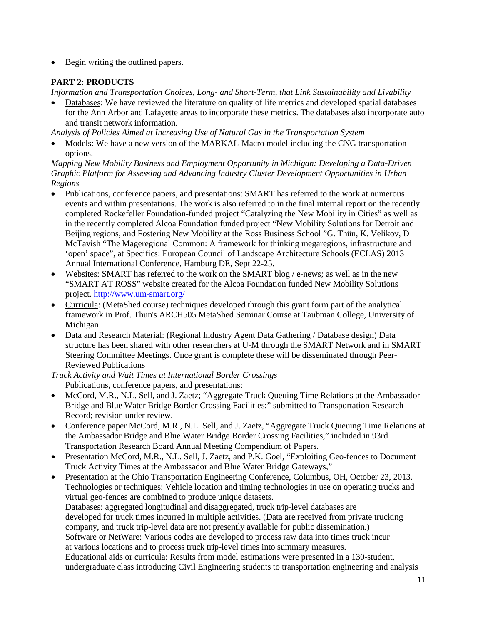• Begin writing the outlined papers.

# **PART 2: PRODUCTS**

*Information and Transportation Choices, Long- and Short-Term, that Link Sustainability and Livability*

• Databases: We have reviewed the literature on quality of life metrics and developed spatial databases for the Ann Arbor and Lafayette areas to incorporate these metrics. The databases also incorporate auto and transit network information.

*Analysis of Policies Aimed at Increasing Use of Natural Gas in the Transportation System*

• Models: We have a new version of the MARKAL-Macro model including the CNG transportation options.

*Mapping New Mobility Business and Employment Opportunity in Michigan: Developing a Data-Driven Graphic Platform for Assessing and Advancing Industry Cluster Development Opportunities in Urban Regions*

- Publications, conference papers, and presentations: SMART has referred to the work at numerous events and within presentations. The work is also referred to in the final internal report on the recently completed Rockefeller Foundation-funded project "Catalyzing the New Mobility in Cities" as well as in the recently completed Alcoa Foundation funded project "New Mobility Solutions for Detroit and Beijing regions, and Fostering New Mobility at the Ross Business School "G. Thün, K. Velikov, D McTavish "The Mageregional Common: A framework for thinking megaregions, infrastructure and 'open' space", at Specifics: European Council of Landscape Architecture Schools (ECLAS) 2013 Annual International Conference, Hamburg DE, Sept 22-25.
- Websites: SMART has referred to the work on the SMART blog  $/ e$ -news; as well as in the new "SMART AT ROSS" website created for the Alcoa Foundation funded New Mobility Solutions project.<http://www.um-smart.org/>
- Curricula: (MetaShed course) techniques developed through this grant form part of the analytical framework in Prof. Thun's ARCH505 MetaShed Seminar Course at Taubman College, University of Michigan
- Data and Research Material: (Regional Industry Agent Data Gathering / Database design) Data structure has been shared with other researchers at U-M through the SMART Network and in SMART Steering Committee Meetings. Once grant is complete these will be disseminated through Peer-Reviewed Publications

*Truck Activity and Wait Times at International Border Crossings* Publications, conference papers, and presentations:

- McCord, M.R., N.L. Sell, and J. Zaetz; "Aggregate Truck Queuing Time Relations at the Ambassador Bridge and Blue Water Bridge Border Crossing Facilities;" submitted to Transportation Research Record; revision under review.
- Conference paper McCord, M.R., N.L. Sell, and J. Zaetz, "Aggregate Truck Queuing Time Relations at the Ambassador Bridge and Blue Water Bridge Border Crossing Facilities," included in 93rd Transportation Research Board Annual Meeting Compendium of Papers.
- Presentation McCord, M.R., N.L. Sell, J. Zaetz, and P.K. Goel, "Exploiting Geo-fences to Document Truck Activity Times at the Ambassador and Blue Water Bridge Gateways,"
- Presentation at the Ohio Transportation Engineering Conference, Columbus, OH, October 23, 2013. Technologies or techniques: Vehicle location and timing technologies in use on operating trucks and virtual geo-fences are combined to produce unique datasets. Databases: aggregated longitudinal and disaggregated, truck trip-level databases are developed for truck times incurred in multiple activities. (Data are received from private trucking company, and truck trip-level data are not presently available for public dissemination.) Software or NetWare: Various codes are developed to process raw data into times truck incur at various locations and to process truck trip-level times into summary measures. Educational aids or curricula: Results from model estimations were presented in a 130-student, undergraduate class introducing Civil Engineering students to transportation engineering and analysis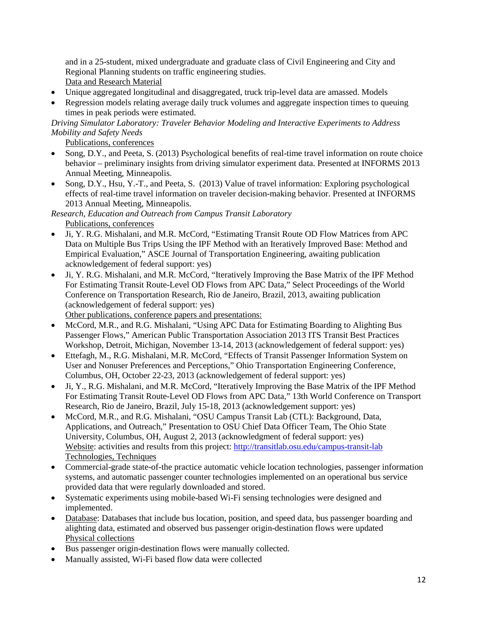and in a 25-student, mixed undergraduate and graduate class of Civil Engineering and City and Regional Planning students on traffic engineering studies. Data and Research Material

- Unique aggregated longitudinal and disaggregated, truck trip-level data are amassed. Models
- Regression models relating average daily truck volumes and aggregate inspection times to queuing times in peak periods were estimated.

*Driving Simulator Laboratory: Traveler Behavior Modeling and Interactive Experiments to Address Mobility and Safety Needs*

Publications, conferences

- Song, D.Y., and Peeta, S. (2013) Psychological benefits of real-time travel information on route choice behavior – preliminary insights from driving simulator experiment data. Presented at INFORMS 2013 Annual Meeting, Minneapolis.
- Song, D.Y., Hsu, Y.-T., and Peeta, S. (2013) Value of travel information: Exploring psychological effects of real-time travel information on traveler decision-making behavior. Presented at INFORMS 2013 Annual Meeting, Minneapolis.

*Research, Education and Outreach from Campus Transit Laboratory* Publications, conferences

- Ji, Y. R.G. Mishalani, and M.R. McCord, "Estimating Transit Route OD Flow Matrices from APC Data on Multiple Bus Trips Using the IPF Method with an Iteratively Improved Base: Method and Empirical Evaluation," ASCE Journal of Transportation Engineering, awaiting publication acknowledgement of federal support: yes)
- Ji, Y. R.G. Mishalani, and M.R. McCord, "Iteratively Improving the Base Matrix of the IPF Method For Estimating Transit Route-Level OD Flows from APC Data," Select Proceedings of the World Conference on Transportation Research, Rio de Janeiro, Brazil, 2013, awaiting publication (acknowledgement of federal support: yes)

Other publications, conference papers and presentations:

- McCord, M.R., and R.G. Mishalani, "Using APC Data for Estimating Boarding to Alighting Bus Passenger Flows," American Public Transportation Association 2013 ITS Transit Best Practices Workshop, Detroit, Michigan, November 13-14, 2013 (acknowledgement of federal support: yes)
- Ettefagh, M., R.G. Mishalani, M.R. McCord, "Effects of Transit Passenger Information System on User and Nonuser Preferences and Perceptions," Ohio Transportation Engineering Conference, Columbus, OH, October 22-23, 2013 (acknowledgement of federal support: yes)
- Ji, Y., R.G. Mishalani, and M.R. McCord, "Iteratively Improving the Base Matrix of the IPF Method For Estimating Transit Route-Level OD Flows from APC Data," 13th World Conference on Transport Research, Rio de Janeiro, Brazil, July 15-18, 2013 (acknowledgement support: yes)
- McCord, M.R., and R.G. Mishalani, "OSU Campus Transit Lab (CTL): Background, Data, Applications, and Outreach," Presentation to OSU Chief Data Officer Team, The Ohio State University, Columbus, OH, August 2, 2013 (acknowledgment of federal support: yes) Website: activities and results from this project:<http://transitlab.osu.edu/campus-transit-lab> Technologies, Techniques
- Commercial-grade state-of-the practice automatic vehicle location technologies, passenger information systems, and automatic passenger counter technologies implemented on an operational bus service provided data that were regularly downloaded and stored.
- Systematic experiments using mobile-based Wi-Fi sensing technologies were designed and implemented.
- Database: Databases that include bus location, position, and speed data, bus passenger boarding and alighting data, estimated and observed bus passenger origin-destination flows were updated Physical collections
- Bus passenger origin-destination flows were manually collected.
- Manually assisted, Wi-Fi based flow data were collected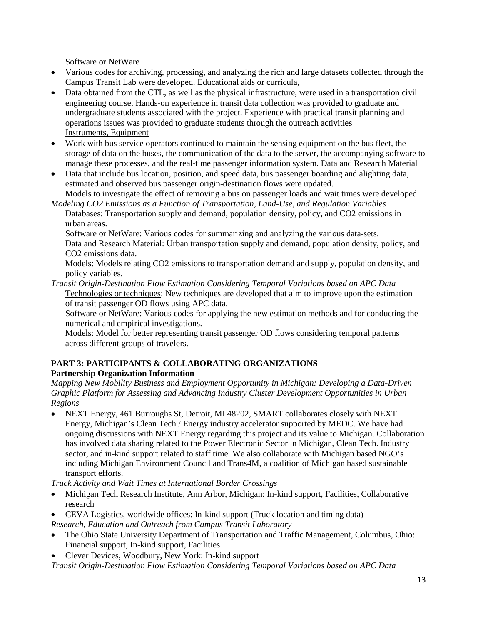Software or NetWare

- Various codes for archiving, processing, and analyzing the rich and large datasets collected through the Campus Transit Lab were developed. Educational aids or curricula,
- Data obtained from the CTL, as well as the physical infrastructure, were used in a transportation civil engineering course. Hands-on experience in transit data collection was provided to graduate and undergraduate students associated with the project. Experience with practical transit planning and operations issues was provided to graduate students through the outreach activities Instruments, Equipment
- Work with bus service operators continued to maintain the sensing equipment on the bus fleet, the storage of data on the buses, the communication of the data to the server, the accompanying software to manage these processes, and the real-time passenger information system. Data and Research Material
- Data that include bus location, position, and speed data, bus passenger boarding and alighting data, estimated and observed bus passenger origin-destination flows were updated.

Models to investigate the effect of removing a bus on passenger loads and wait times were developed *Modeling CO2 Emissions as a Function of Transportation, Land-Use, and Regulation Variables*

Databases: Transportation supply and demand, population density, policy, and CO2 emissions in urban areas.

Software or NetWare: Various codes for summarizing and analyzing the various data-sets. Data and Research Material: Urban transportation supply and demand, population density, policy, and CO2 emissions data.

Models: Models relating CO2 emissions to transportation demand and supply, population density, and policy variables.

*Transit Origin-Destination Flow Estimation Considering Temporal Variations based on APC Data* Technologies or techniques: New techniques are developed that aim to improve upon the estimation of transit passenger OD flows using APC data.

Software or NetWare: Various codes for applying the new estimation methods and for conducting the numerical and empirical investigations.

Models: Model for better representing transit passenger OD flows considering temporal patterns across different groups of travelers.

# **PART 3: PARTICIPANTS & COLLABORATING ORGANIZATIONS**

### **Partnership Organization Information**

*Mapping New Mobility Business and Employment Opportunity in Michigan: Developing a Data-Driven Graphic Platform for Assessing and Advancing Industry Cluster Development Opportunities in Urban Regions*

• NEXT Energy, 461 Burroughs St, Detroit, MI 48202, SMART collaborates closely with NEXT Energy, Michigan's Clean Tech / Energy industry accelerator supported by MEDC. We have had ongoing discussions with NEXT Energy regarding this project and its value to Michigan. Collaboration has involved data sharing related to the Power Electronic Sector in Michigan, Clean Tech. Industry sector, and in-kind support related to staff time. We also collaborate with Michigan based NGO's including Michigan Environment Council and Trans4M, a coalition of Michigan based sustainable transport efforts.

*Truck Activity and Wait Times at International Border Crossings*

- Michigan Tech Research Institute, Ann Arbor, Michigan: In-kind support, Facilities, Collaborative research
- CEVA Logistics, worldwide offices: In-kind support (Truck location and timing data)

*Research, Education and Outreach from Campus Transit Laboratory*

- The Ohio State University Department of Transportation and Traffic Management, Columbus, Ohio: Financial support, In-kind support, Facilities
- Clever Devices, Woodbury, New York: In-kind support

*Transit Origin-Destination Flow Estimation Considering Temporal Variations based on APC Data*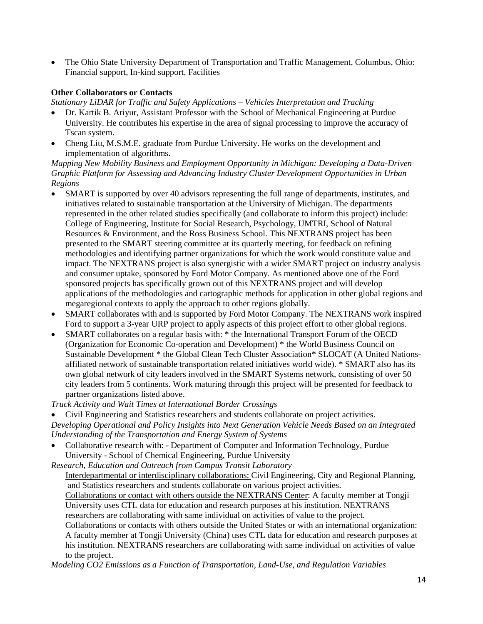• The Ohio State University Department of Transportation and Traffic Management, Columbus, Ohio: Financial support, In-kind support, Facilities

### **Other Collaborators or Contacts**

*Stationary LiDAR for Traffic and Safety Applications – Vehicles Interpretation and Tracking*

- Dr. Kartik B. Ariyur, Assistant Professor with the School of Mechanical Engineering at Purdue University. He contributes his expertise in the area of signal processing to improve the accuracy of Tscan system.
- Cheng Liu, M.S.M.E. graduate from Purdue University. He works on the development and implementation of algorithms.

*Mapping New Mobility Business and Employment Opportunity in Michigan: Developing a Data-Driven Graphic Platform for Assessing and Advancing Industry Cluster Development Opportunities in Urban Regions*

- SMART is supported by over 40 advisors representing the full range of departments, institutes, and initiatives related to sustainable transportation at the University of Michigan. The departments represented in the other related studies specifically (and collaborate to inform this project) include: College of Engineering, Institute for Social Research, Psychology, UMTRI, School of Natural Resources & Environment, and the Ross Business School. This NEXTRANS project has been presented to the SMART steering committee at its quarterly meeting, for feedback on refining methodologies and identifying partner organizations for which the work would constitute value and impact. The NEXTRANS project is also synergistic with a wider SMART project on industry analysis and consumer uptake, sponsored by Ford Motor Company. As mentioned above one of the Ford sponsored projects has specifically grown out of this NEXTRANS project and will develop applications of the methodologies and cartographic methods for application in other global regions and megaregional contexts to apply the approach to other regions globally.
- SMART collaborates with and is supported by Ford Motor Company. The NEXTRANS work inspired Ford to support a 3-year URP project to apply aspects of this project effort to other global regions.
- SMART collaborates on a regular basis with: \* the International Transport Forum of the OECD (Organization for Economic Co-operation and Development) \* the World Business Council on Sustainable Development \* the Global Clean Tech Cluster Association\* SLOCAT (A United Nationsaffiliated network of sustainable transportation related initiatives world wide). \* SMART also has its own global network of city leaders involved in the SMART Systems network, consisting of over 50 city leaders from 5 continents. Work maturing through this project will be presented for feedback to partner organizations listed above.

*Truck Activity and Wait Times at International Border Crossings*

• Civil Engineering and Statistics researchers and students collaborate on project activities. *Developing Operational and Policy Insights into Next Generation Vehicle Needs Based on an Integrated Understanding of the Transportation and Energy System of Systems*

• Collaborative research with: - Department of Computer and Information Technology, Purdue University - School of Chemical Engineering, Purdue University

*Research, Education and Outreach from Campus Transit Laboratory* Interdepartmental or interdisciplinary collaborations: Civil Engineering, City and Regional Planning, and Statistics researchers and students collaborate on various project activities. Collaborations or contact with others outside the NEXTRANS Center: A faculty member at Tongji University uses CTL data for education and research purposes at his institution. NEXTRANS researchers are collaborating with same individual on activities of value to the project. Collaborations or contacts with others outside the United States or with an international organization: A faculty member at Tongji University (China) uses CTL data for education and research purposes at his institution. NEXTRANS researchers are collaborating with same individual on activities of value to the project.

*Modeling CO2 Emissions as a Function of Transportation, Land-Use, and Regulation Variables*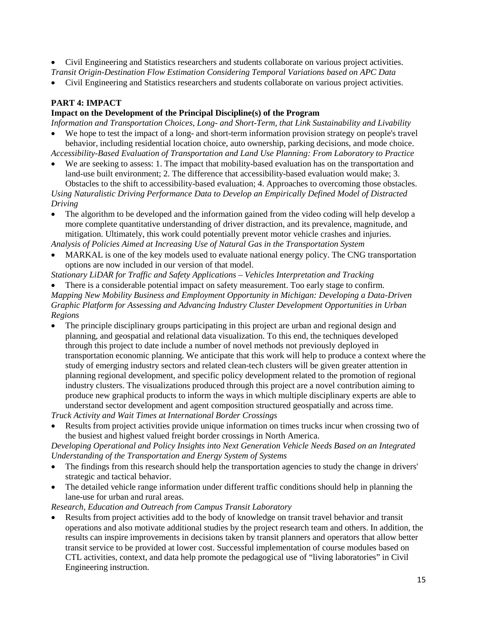- Civil Engineering and Statistics researchers and students collaborate on various project activities.
- *Transit Origin-Destination Flow Estimation Considering Temporal Variations based on APC Data* • Civil Engineering and Statistics researchers and students collaborate on various project activities.

# **PART 4: IMPACT**

### **Impact on the Development of the Principal Discipline(s) of the Program**

*Information and Transportation Choices, Long- and Short-Term, that Link Sustainability and Livability* • We hope to test the impact of a long- and short-term information provision strategy on people's travel

behavior, including residential location choice, auto ownership, parking decisions, and mode choice. *Accessibility-Based Evaluation of Transportation and Land Use Planning: From Laboratory to Practice*

We are seeking to assess: 1. The impact that mobility-based evaluation has on the transportation and land-use built environment; 2. The difference that accessibility-based evaluation would make; 3. Obstacles to the shift to accessibility-based evaluation; 4. Approaches to overcoming those obstacles.

*Using Naturalistic Driving Performance Data to Develop an Empirically Defined Model of Distracted Driving*

• The algorithm to be developed and the information gained from the video coding will help develop a more complete quantitative understanding of driver distraction, and its prevalence, magnitude, and mitigation. Ultimately, this work could potentially prevent motor vehicle crashes and injuries.

*Analysis of Policies Aimed at Increasing Use of Natural Gas in the Transportation System*

• MARKAL is one of the key models used to evaluate national energy policy. The CNG transportation options are now included in our version of that model.

*Stationary LiDAR for Traffic and Safety Applications – Vehicles Interpretation and Tracking*

• There is a considerable potential impact on safety measurement. Too early stage to confirm. *Mapping New Mobility Business and Employment Opportunity in Michigan: Developing a Data-Driven Graphic Platform for Assessing and Advancing Industry Cluster Development Opportunities in Urban* 

*Regions* • The principle disciplinary groups participating in this project are urban and regional design and planning, and geospatial and relational data visualization. To this end, the techniques developed through this project to date include a number of novel methods not previously deployed in transportation economic planning. We anticipate that this work will help to produce a context where the study of emerging industry sectors and related clean-tech clusters will be given greater attention in planning regional development, and specific policy development related to the promotion of regional industry clusters. The visualizations produced through this project are a novel contribution aiming to

produce new graphical products to inform the ways in which multiple disciplinary experts are able to understand sector development and agent composition structured geospatially and across time. *Truck Activity and Wait Times at International Border Crossings*

• Results from project activities provide unique information on times trucks incur when crossing two of the busiest and highest valued freight border crossings in North America.

*Developing Operational and Policy Insights into Next Generation Vehicle Needs Based on an Integrated Understanding of the Transportation and Energy System of Systems*

- The findings from this research should help the transportation agencies to study the change in drivers' strategic and tactical behavior.
- The detailed vehicle range information under different traffic conditions should help in planning the lane-use for urban and rural areas.

*Research, Education and Outreach from Campus Transit Laboratory*

• Results from project activities add to the body of knowledge on transit travel behavior and transit operations and also motivate additional studies by the project research team and others. In addition, the results can inspire improvements in decisions taken by transit planners and operators that allow better transit service to be provided at lower cost. Successful implementation of course modules based on CTL activities, context, and data help promote the pedagogical use of "living laboratories" in Civil Engineering instruction.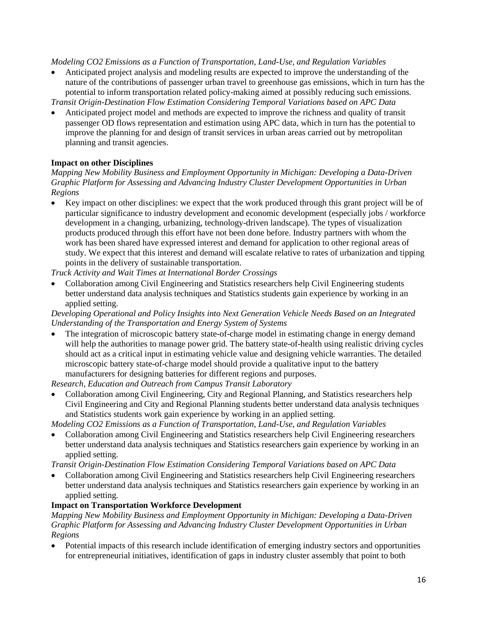• Anticipated project analysis and modeling results are expected to improve the understanding of the nature of the contributions of passenger urban travel to greenhouse gas emissions, which in turn has the potential to inform transportation related policy-making aimed at possibly reducing such emissions.

*Transit Origin-Destination Flow Estimation Considering Temporal Variations based on APC Data*

• Anticipated project model and methods are expected to improve the richness and quality of transit passenger OD flows representation and estimation using APC data, which in turn has the potential to improve the planning for and design of transit services in urban areas carried out by metropolitan planning and transit agencies.

# **Impact on other Disciplines**

*Mapping New Mobility Business and Employment Opportunity in Michigan: Developing a Data-Driven Graphic Platform for Assessing and Advancing Industry Cluster Development Opportunities in Urban Regions*

• Key impact on other disciplines: we expect that the work produced through this grant project will be of particular significance to industry development and economic development (especially jobs / workforce development in a changing, urbanizing, technology-driven landscape). The types of visualization products produced through this effort have not been done before. Industry partners with whom the work has been shared have expressed interest and demand for application to other regional areas of study. We expect that this interest and demand will escalate relative to rates of urbanization and tipping points in the delivery of sustainable transportation.

*Truck Activity and Wait Times at International Border Crossings*

• Collaboration among Civil Engineering and Statistics researchers help Civil Engineering students better understand data analysis techniques and Statistics students gain experience by working in an applied setting.

*Developing Operational and Policy Insights into Next Generation Vehicle Needs Based on an Integrated Understanding of the Transportation and Energy System of Systems*

The integration of microscopic battery state-of-charge model in estimating change in energy demand will help the authorities to manage power grid. The battery state-of-health using realistic driving cycles should act as a critical input in estimating vehicle value and designing vehicle warranties. The detailed microscopic battery state-of-charge model should provide a qualitative input to the battery manufacturers for designing batteries for different regions and purposes.

*Research, Education and Outreach from Campus Transit Laboratory*

• Collaboration among Civil Engineering, City and Regional Planning, and Statistics researchers help Civil Engineering and City and Regional Planning students better understand data analysis techniques and Statistics students work gain experience by working in an applied setting.

*Modeling CO2 Emissions as a Function of Transportation, Land-Use, and Regulation Variables*

• Collaboration among Civil Engineering and Statistics researchers help Civil Engineering researchers better understand data analysis techniques and Statistics researchers gain experience by working in an applied setting.

*Transit Origin-Destination Flow Estimation Considering Temporal Variations based on APC Data*

• Collaboration among Civil Engineering and Statistics researchers help Civil Engineering researchers better understand data analysis techniques and Statistics researchers gain experience by working in an applied setting.

### **Impact on Transportation Workforce Development**

*Mapping New Mobility Business and Employment Opportunity in Michigan: Developing a Data-Driven Graphic Platform for Assessing and Advancing Industry Cluster Development Opportunities in Urban Regions*

• Potential impacts of this research include identification of emerging industry sectors and opportunities for entrepreneurial initiatives, identification of gaps in industry cluster assembly that point to both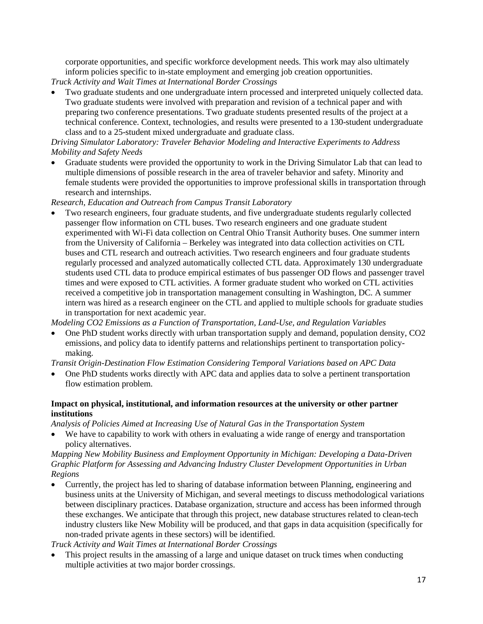corporate opportunities, and specific workforce development needs. This work may also ultimately inform policies specific to in-state employment and emerging job creation opportunities.

*Truck Activity and Wait Times at International Border Crossings*

• Two graduate students and one undergraduate intern processed and interpreted uniquely collected data. Two graduate students were involved with preparation and revision of a technical paper and with preparing two conference presentations. Two graduate students presented results of the project at a technical conference. Context, technologies, and results were presented to a 130-student undergraduate class and to a 25-student mixed undergraduate and graduate class.

### *Driving Simulator Laboratory: Traveler Behavior Modeling and Interactive Experiments to Address Mobility and Safety Needs*

• Graduate students were provided the opportunity to work in the Driving Simulator Lab that can lead to multiple dimensions of possible research in the area of traveler behavior and safety. Minority and female students were provided the opportunities to improve professional skills in transportation through research and internships.

*Research, Education and Outreach from Campus Transit Laboratory*

• Two research engineers, four graduate students, and five undergraduate students regularly collected passenger flow information on CTL buses. Two research engineers and one graduate student experimented with Wi-Fi data collection on Central Ohio Transit Authority buses. One summer intern from the University of California – Berkeley was integrated into data collection activities on CTL buses and CTL research and outreach activities. Two research engineers and four graduate students regularly processed and analyzed automatically collected CTL data. Approximately 130 undergraduate students used CTL data to produce empirical estimates of bus passenger OD flows and passenger travel times and were exposed to CTL activities. A former graduate student who worked on CTL activities received a competitive job in transportation management consulting in Washington, DC. A summer intern was hired as a research engineer on the CTL and applied to multiple schools for graduate studies in transportation for next academic year.

*Modeling CO2 Emissions as a Function of Transportation, Land-Use, and Regulation Variables*

• One PhD student works directly with urban transportation supply and demand, population density, CO2 emissions, and policy data to identify patterns and relationships pertinent to transportation policymaking.

*Transit Origin-Destination Flow Estimation Considering Temporal Variations based on APC Data*

• One PhD students works directly with APC data and applies data to solve a pertinent transportation flow estimation problem.

### **Impact on physical, institutional, and information resources at the university or other partner institutions**

*Analysis of Policies Aimed at Increasing Use of Natural Gas in the Transportation System*

• We have to capability to work with others in evaluating a wide range of energy and transportation policy alternatives.

#### *Mapping New Mobility Business and Employment Opportunity in Michigan: Developing a Data-Driven Graphic Platform for Assessing and Advancing Industry Cluster Development Opportunities in Urban Regions*

• Currently, the project has led to sharing of database information between Planning, engineering and business units at the University of Michigan, and several meetings to discuss methodological variations between disciplinary practices. Database organization, structure and access has been informed through these exchanges. We anticipate that through this project, new database structures related to clean-tech industry clusters like New Mobility will be produced, and that gaps in data acquisition (specifically for non-traded private agents in these sectors) will be identified.

*Truck Activity and Wait Times at International Border Crossings*

This project results in the amassing of a large and unique dataset on truck times when conducting multiple activities at two major border crossings.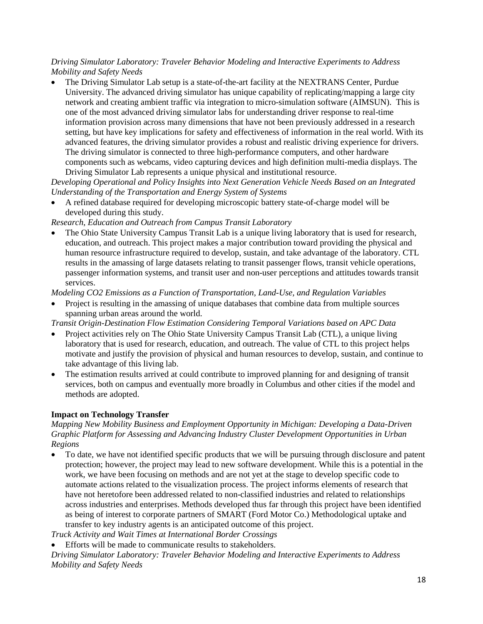### *Driving Simulator Laboratory: Traveler Behavior Modeling and Interactive Experiments to Address Mobility and Safety Needs*

• The Driving Simulator Lab setup is a state-of-the-art facility at the NEXTRANS Center, Purdue University. The advanced driving simulator has unique capability of replicating/mapping a large city network and creating ambient traffic via integration to micro-simulation software (AIMSUN). This is one of the most advanced driving simulator labs for understanding driver response to real-time information provision across many dimensions that have not been previously addressed in a research setting, but have key implications for safety and effectiveness of information in the real world. With its advanced features, the driving simulator provides a robust and realistic driving experience for drivers. The driving simulator is connected to three high-performance computers, and other hardware components such as webcams, video capturing devices and high definition multi-media displays. The Driving Simulator Lab represents a unique physical and institutional resource.

*Developing Operational and Policy Insights into Next Generation Vehicle Needs Based on an Integrated Understanding of the Transportation and Energy System of Systems*

• A refined database required for developing microscopic battery state-of-charge model will be developed during this study.

*Research, Education and Outreach from Campus Transit Laboratory*

• The Ohio State University Campus Transit Lab is a unique living laboratory that is used for research, education, and outreach. This project makes a major contribution toward providing the physical and human resource infrastructure required to develop, sustain, and take advantage of the laboratory. CTL results in the amassing of large datasets relating to transit passenger flows, transit vehicle operations, passenger information systems, and transit user and non-user perceptions and attitudes towards transit services.

*Modeling CO2 Emissions as a Function of Transportation, Land-Use, and Regulation Variables*

• Project is resulting in the amassing of unique databases that combine data from multiple sources spanning urban areas around the world.

*Transit Origin-Destination Flow Estimation Considering Temporal Variations based on APC Data*

- Project activities rely on The Ohio State University Campus Transit Lab (CTL), a unique living laboratory that is used for research, education, and outreach. The value of CTL to this project helps motivate and justify the provision of physical and human resources to develop, sustain, and continue to take advantage of this living lab.
- The estimation results arrived at could contribute to improved planning for and designing of transit services, both on campus and eventually more broadly in Columbus and other cities if the model and methods are adopted.

### **Impact on Technology Transfer**

*Mapping New Mobility Business and Employment Opportunity in Michigan: Developing a Data-Driven Graphic Platform for Assessing and Advancing Industry Cluster Development Opportunities in Urban Regions*

• To date, we have not identified specific products that we will be pursuing through disclosure and patent protection; however, the project may lead to new software development. While this is a potential in the work, we have been focusing on methods and are not yet at the stage to develop specific code to automate actions related to the visualization process. The project informs elements of research that have not heretofore been addressed related to non-classified industries and related to relationships across industries and enterprises. Methods developed thus far through this project have been identified as being of interest to corporate partners of SMART (Ford Motor Co.) Methodological uptake and transfer to key industry agents is an anticipated outcome of this project.

*Truck Activity and Wait Times at International Border Crossings*

Efforts will be made to communicate results to stakeholders.

*Driving Simulator Laboratory: Traveler Behavior Modeling and Interactive Experiments to Address Mobility and Safety Needs*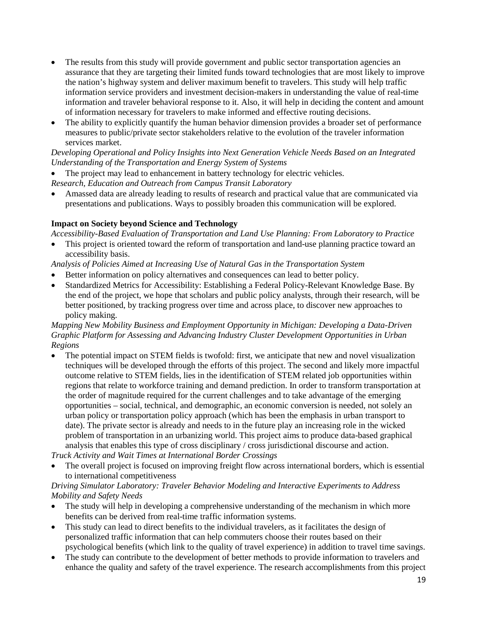- The results from this study will provide government and public sector transportation agencies an assurance that they are targeting their limited funds toward technologies that are most likely to improve the nation's highway system and deliver maximum benefit to travelers. This study will help traffic information service providers and investment decision-makers in understanding the value of real-time information and traveler behavioral response to it. Also, it will help in deciding the content and amount of information necessary for travelers to make informed and effective routing decisions.
- The ability to explicitly quantify the human behavior dimension provides a broader set of performance measures to public/private sector stakeholders relative to the evolution of the traveler information services market.

*Developing Operational and Policy Insights into Next Generation Vehicle Needs Based on an Integrated Understanding of the Transportation and Energy System of Systems*

The project may lead to enhancement in battery technology for electric vehicles.

*Research, Education and Outreach from Campus Transit Laboratory*

• Amassed data are already leading to results of research and practical value that are communicated via presentations and publications. Ways to possibly broaden this communication will be explored.

### **Impact on Society beyond Science and Technology**

*Accessibility-Based Evaluation of Transportation and Land Use Planning: From Laboratory to Practice*

• This project is oriented toward the reform of transportation and land-use planning practice toward an accessibility basis.

*Analysis of Policies Aimed at Increasing Use of Natural Gas in the Transportation System*

- Better information on policy alternatives and consequences can lead to better policy.
- Standardized Metrics for Accessibility: Establishing a Federal Policy-Relevant Knowledge Base. By the end of the project, we hope that scholars and public policy analysts, through their research, will be better positioned, by tracking progress over time and across place, to discover new approaches to policy making.

### *Mapping New Mobility Business and Employment Opportunity in Michigan: Developing a Data-Driven Graphic Platform for Assessing and Advancing Industry Cluster Development Opportunities in Urban Regions*

• The potential impact on STEM fields is twofold: first, we anticipate that new and novel visualization techniques will be developed through the efforts of this project. The second and likely more impactful outcome relative to STEM fields, lies in the identification of STEM related job opportunities within regions that relate to workforce training and demand prediction. In order to transform transportation at the order of magnitude required for the current challenges and to take advantage of the emerging opportunities – social, technical, and demographic, an economic conversion is needed, not solely an urban policy or transportation policy approach (which has been the emphasis in urban transport to date). The private sector is already and needs to in the future play an increasing role in the wicked problem of transportation in an urbanizing world. This project aims to produce data-based graphical analysis that enables this type of cross disciplinary / cross jurisdictional discourse and action.

*Truck Activity and Wait Times at International Border Crossings*

• The overall project is focused on improving freight flow across international borders, which is essential to international competitiveness

### *Driving Simulator Laboratory: Traveler Behavior Modeling and Interactive Experiments to Address Mobility and Safety Needs*

- The study will help in developing a comprehensive understanding of the mechanism in which more benefits can be derived from real-time traffic information systems.
- This study can lead to direct benefits to the individual travelers, as it facilitates the design of personalized traffic information that can help commuters choose their routes based on their psychological benefits (which link to the quality of travel experience) in addition to travel time savings.
- The study can contribute to the development of better methods to provide information to travelers and enhance the quality and safety of the travel experience. The research accomplishments from this project